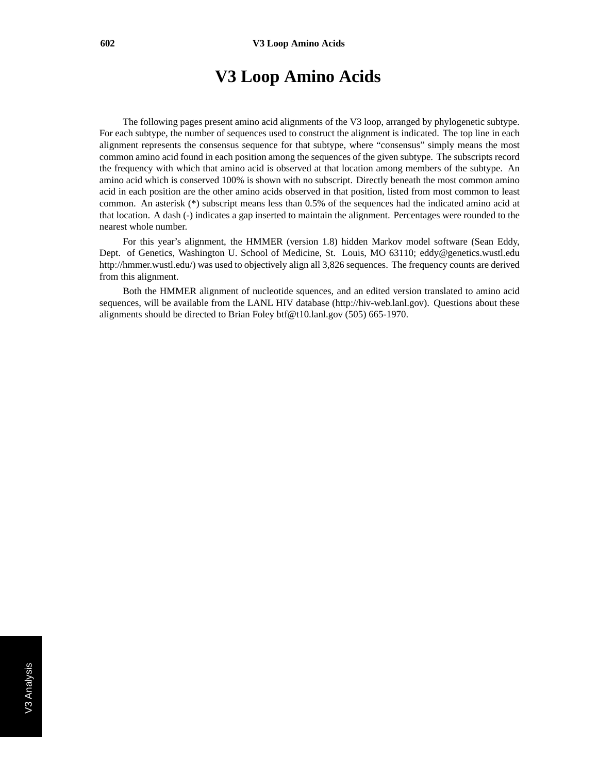#### **V3 Loop Amino Acids**

The following pages present amino acid alignments of the V3 loop, arranged by phylogenetic subtype. For each subtype, the number of sequences used to construct the alignment is indicated. The top line in each alignment represents the consensus sequence for that subtype, where "consensus" simply means the most common amino acid found in each position among the sequences of the given subtype. The subscripts record the frequency with which that amino acid is observed at that location among members of the subtype. An amino acid which is conserved 100% is shown with no subscript. Directly beneath the most common amino acid in each position are the other amino acids observed in that position, listed from most common to least common. An asterisk (\*) subscript means less than 0.5% of the sequences had the indicated amino acid at that location. A dash (-) indicates a gap inserted to maintain the alignment. Percentages were rounded to the nearest whole number.

For this year's alignment, the HMMER (version 1.8) hidden Markov model software (Sean Eddy, Dept. of Genetics, Washington U. School of Medicine, St. Louis, MO 63110; eddy@genetics.wustl.edu http://hmmer.wustl.edu/) was used to objectively align all 3,826 sequences. The frequency counts are derived from this alignment.

Both the HMMER alignment of nucleotide squences, and an edited version translated to amino acid sequences, will be available from the LANL HIV database (http://hiv-web.lanl.gov). Questions about these alignments should be directed to Brian Foley btf@t10.lanl.gov (505) 665-1970.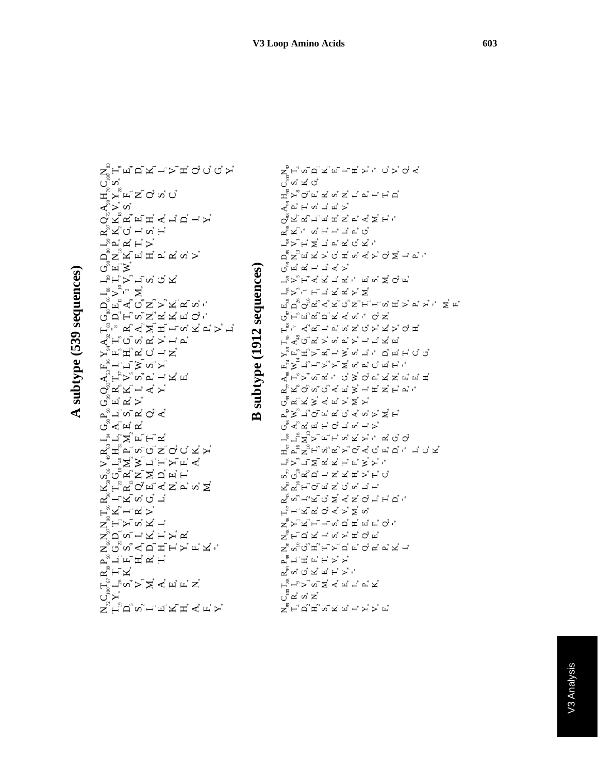A subtype (539 sequences)

ヸ゚゚゚゚゚゚゚゚゚゚゚<br>ヷゕ゙<br>ヷゕ゙<br>ヹ゚ゕ゚ヸヹ゙゙゙゙゙゙゙゙ヹヹ゚ゕ゙゙ヷ ゚゚ゟ゚ヾゕ゚<br>ヮ゚ヹヹヹヹ゙゙゙ヸ゙ヸヹヿ゙ゖ゙ ヸ゚ゟ゙ヷヸゎ゙ゖ゙  $\mathcal{L}^{\mathcal{B}}$   $\mathcal{L}^{\mathcal{B}}$   $\mathcal{L}^{\mathcal{B}}$   $\mathcal{L}^{\mathcal{B}}$   $\mathcal{L}^{\mathcal{B}}$   $\mathcal{L}^{\mathcal{B}}$  $\sum_{\alpha}^{\mathbb{S}} \Sigma_{\alpha} \Xi_{\alpha} \Xi_{\alpha} \Xi_{\alpha} \Xi_{\alpha} \Xi_{\alpha} \Xi_{\alpha} \Xi_{\alpha} \Xi_{\alpha} \Xi_{\alpha} \Xi_{\alpha} \Xi_{\alpha} \Xi_{\alpha} \Xi_{\alpha} \Xi_{\alpha} \Xi_{\alpha} \Xi_{\alpha} \Xi_{\alpha} \Xi_{\alpha} \Xi_{\alpha} \Xi_{\alpha} \Xi_{\alpha} \Xi_{\alpha} \Xi_{\alpha} \Xi_{\alpha} \Xi_{\alpha} \Xi_{\alpha} \Xi_{\alpha} \Xi_{\alpha} \Xi_{\alpha} \Xi_{\alpha} \Xi_{\alpha} \Xi_{\alpha} \Xi_{\alpha} \Xi_{$  $\mathbf{L}^{\circledast}\mathbf{F}^{\circ}\mathbf{\gt}\mathbf{\overset{\circ}{-}}\mathbf{\overset{\circ}{-}}\mathbf{\overset{\circ}{-}}\mathbf{\overset{\circ}{-}}\mathbf{\overset{\circ}{-}}\mathbf{\overset{\circ}{-}}\mathbf{\overset{\circ}{-}}\mathbf{\overset{\circ}{-}}\mathbf{\overset{\circ}{-}}\mathbf{\overset{\circ}{-}}\mathbf{\overset{\circ}{-}}\mathbf{\overset{\circ}{-}}\mathbf{\overset{\circ}{-}}\mathbf{\overset{\circ}{-}}\mathbf{\overset{\circ}{-}}\mathbf{\overset{\circ}{-}}\mathbf{\overset{\circ}{-}}\mathbf{\overset{\circ$  $\begin{array}{l} \displaystyle \sum_{s}^{N} \sum_{i=1}^{N} \sum_{i=1}^{N} \sum_{i=1}^{N} \sum_{i=1}^{N} \sum_{i=1}^{N} \sum_{i=1}^{N} \sum_{i=1}^{N} \sum_{i=1}^{N} \sum_{i=1}^{N} \sum_{i=1}^{N} \sum_{i=1}^{N} \sum_{i=1}^{N} \sum_{i=1}^{N} \sum_{i=1}^{N} \sum_{i=1}^{N} \sum_{i=1}^{N} \sum_{i=1}^{N} \sum_{i=1}^{N} \sum_{i=1}^{N} \sum_{i=1}^{N} \sum$ ヷ゚゚゚゚゙゙゙゙ロ゙゚ゖ゚ゕ゚ヹ゚ヸ゙ヹ゙ゖ゙ヷ゙  $\begin{array}{l} \mathcal{L}_{\mathbf{s},\mathbf{t}}^{\mathbf{s},\mathbf{t}} \sim \mathcal{L}_{\mathbf{s},\mathbf{t}}^{\mathbf{s},\mathbf{t}} \sim \mathcal{L}_{\mathbf{s},\mathbf{t}}^{\mathbf{s},\mathbf{t}} \sim \mathcal{L}_{\mathbf{s},\mathbf{t}}^{\mathbf{s},\mathbf{t}} \sim \mathcal{L}_{\mathbf{s},\mathbf{t}}^{\mathbf{s},\mathbf{t}} \sim \mathcal{L}_{\mathbf{s},\mathbf{t}}^{\mathbf{s},\mathbf{t}} \sim \mathcal{L}_{\mathbf{s},\mathbf{t}}^{\mathbf{s},\mathbf{$ ゙゚ゕ゚゙゚゚゚ヸ゚ヸ゚゚゚゚゙゙゙゙゙゙゙゙゙ヸ゚ヹ゙ ఙఀ౼<sup>౼</sup>౼౹౾ౢౢౣ  $\mathbf{A}^{\mathcal{B}}_{\mathbf{F}}\mathbf{B}^{\mathcal{B}}_{\mathbf{F}}\mathbf{A}^{\mathcal{B}}_{\mathbf{F}}\mathbf{A}^{\mathcal{B}}_{\mathbf{F}}\mathbf{A}^{\mathcal{B}}_{\mathbf{F}}\mathbf{A}^{\mathcal{B}}_{\mathbf{F}}\mathbf{A}^{\mathcal{B}}_{\mathbf{F}}\mathbf{A}^{\mathcal{B}}_{\mathbf{F}}\mathbf{A}^{\mathcal{B}}_{\mathbf{F}}$  $\bigcirc_{\alpha}\forall_{\alpha}\forall_{\alpha}\exists_{\alpha}\forall_{\beta}\forall_{\beta}$ ரியு த $\sim$ <sub>൧</sub>ဳ႕ ဟ ¤் ♂ ∢ ் $\mathcal{L} \subset \mathbb{Z}^3$  பி ヸヿ゚゚゚ヹ゙ヸゖヸ <sub>൙</sub>៓<sub>ヸ</sub>゚゚゚゚゠゙゙゙゚゚ヮ゙ヷヹ゙゙゙゙゙゙゙゙゙゙゙゙゙゙ヮ゙ヹゕ゙ ゝ゚゚゚゚゚゚゚゚゚゚゚゚゚゚゚゚ゟ゙ヹゖ゙゙゚゚゚゚゚ヸ゙゙゙゚゚゚  $\mathbf{v}_\mathbf{a}^\mathbf{a} \mathbf{c}_\mathbf{b}^\mathbf{b} \mathbf{c}_\mathbf{a}^\mathbf{b} \mathbf{c}_\mathbf{a}^\mathbf{b} \mathbf{c}_\mathbf{a}^\mathbf{b} \mathbf{c}_\mathbf{b}^\mathbf{b}$ <sub>៷៓៲</sub>؞¦<sub>៷</sub>៓⊘៎៲៸៓⋖៎៹៓៴៎ៜ៎ డీోదౕుౕ౮ఄ౼౹  $F^*_{\ \ \, \aleph}F^*_{\ \ \, \boldsymbol{\mu}}=F^*_{\ \ \, \boldsymbol{\mu}}$ z ็⊢ ี≻ ี∽ ้⊻ ้ – ้ zîQwi Hi Hi Hi Ai **r** "TE" A H  $\mathbf{z}^{\mathbf{y}}$ H $\mathbf{z}$  $F_{\underline{\mathbf{S}}}^{\mathbf{S}}F_{\mathbf{S}}^{\mathbf{S}}\mathbf{z}^{\mathbf{S}}\mathbf{z}^{\mathbf{S}}\mathbf{z}^{\mathbf{S}}\mathbf{z}^{\mathbf{S}}\mathbf{z}^{\mathbf{S}}\mathbf{z}^{\mathbf{S}}\mathbf{z}^{\mathbf{S}}\mathbf{z}^{\mathbf{S}}\mathbf{z}^{\mathbf{S}}\mathbf{z}^{\mathbf{S}}\mathbf{z}^{\mathbf{S}}\mathbf{z}^{\mathbf{S}}\mathbf{z}^{\mathbf{S}}\mathbf{z}^{\mathbf{S}}\mathbf{z}$ ヷ<sup>゚</sup>゙゚゚<br>ゟ゚ゖ<sup>゚</sup>ヮ゚∞゚゚゚゚゚゚゚゚゚゚゚゚゚ゖヸヹ゙ヸ゚ヸ゙゙゚゚*゙* 

# subtype (1912 sequences)

 $\blacksquare$ 

 $\mathsf{S}_g \mathsf{S}_\mathsf{L} \mathsf{S}_g \mathsf{S}_g \mathsf{S}_g \mathsf{S}_g \mathsf{S}_g \mathsf{S}_g \mathsf{S}_g \mathsf{S}_g \mathsf{S}_g \mathsf{S}_g \mathsf{S}_g \mathsf{S}_g \mathsf{S}_g \mathsf{S}_g \mathsf{S}_g \mathsf{S}_g \mathsf{S}_g \mathsf{S}_g \mathsf{S}_g \mathsf{S}_g \mathsf{S}_g \mathsf{S}_g \mathsf{S}_g \mathsf{S}_g \mathsf{S}_g \mathsf{S}_g \mathsf{S}_g \mathsf{S}_g \mathsf{S$ ోోది చే  $\texttt{H}^{\text{S}} \texttt{H}^{\text{S}} \texttt{O}^{\text{S}} \texttt{H}^{\text{S}} \texttt{H}^{\text{S}} \texttt{H}^{\text{S}} \texttt{H}^{\text{S}} \texttt{H}^{\text{S}} \texttt{H}^{\text{S}} \texttt{H}^{\text{S}} \texttt{H}^{\text{S}} \texttt{H}^{\text{S}} \texttt{H}^{\text{S}} \texttt{H}^{\text{S}} \texttt{H}^{\text{S}} \texttt{H}^{\text{S}} \texttt{H}^{\text{S}} \texttt{H}^{\text{S}} \texttt{$  $\bigcirc_8^{\overset{\circ}{\alpha}} \times \bigcirc_8^{\overset{\circ}{\alpha}} \dots \bigcirc_4^{\overset{\circ}{\alpha}} \dots \bigcirc_4^{\overset{\circ}{\alpha}} \dots \bigcirc_4^{\overset{\circ}{\alpha}} \dots \bigcirc_4^{\overset{\circ}{\alpha}} \dots \bigcirc_4^{\overset{\circ}{\alpha}} \dots \bigcirc_4^{\overset{\circ}{\alpha}} \dots \bigcirc_4^{\overset{\circ}{\alpha}} \dots \bigcirc_4^{\overset{\circ}{\alpha}} \dots \bigcirc_4^{\overset{\circ}{\alpha}} \dots \bigcirc_4^{\overset{\circ}{\alpha}} \dots \bigcirc_4^{\overset{\circ}{\alpha}} \$  $\alpha^{\text{S}}_i \boxtimes \text{I}^* \quad \alpha^* \vdash \text{I}^* \sqcup \text{I}^* \alpha^* \text{O}^*$ ゠゚゙゚゚゚゚゚゚゚゚゚゚゚゚゚゚ゟヿ゙ヸ゙ヸ゙ゖ゙ヸ゚  $\Delta_{g}^{g} \Sigma_{g} \pi_{g}^{g} \pi_{g}^{g} \times_{g} \Sigma_{g} \Sigma_{g} \pi_{g}^{g} \pi_{g}^{g} \pi_{g}^{g} \pi_{g}^{g} \pi_{g}^{g} \pi_{g}^{g} \pi_{g}^{g} \pi_{g}^{g} \pi_{g}^{g} \pi_{g}^{g} \pi_{g}^{g} \pi_{g}^{g} \pi_{g}^{g} \pi_{g}^{g} \pi_{g}^{g} \pi_{g}^{g} \pi_{g}^{g} \pi_{g}^{g} \pi_{g}^{g} \pi_{g}^{g} \pi_{g}^{g} \pi_{g}^{g}$ குீ் மீ டீ் டீ் ⊲ீ >்  $\mathbf{L}^{\circledast} \mathbf{\geq}^{\circ} \mathbf{F}^{\mathsf{T}} \preceq \mathbf{\tilde{c}}^{\mathsf{T}} \mathbf{M}^{\mathsf{T}} \mathbf{\perp}^{\mathsf{T}} \mathbf{\tilde{c}}^{\mathsf{T}} \mathbf{\cdot}^{\mathsf{T}} \mathbf{\perp}^{\mathsf{T}} \mathbf{\tilde{u}}^{\mathsf{T}} \mathbf{\cdot}^{\mathsf{T}} \mathbf{\perp}^{\mathsf{T}} \mathbf{\tilde{d}}^{\mathsf{T}} \mathbf{\tilde{d}}^{\mathsf{T}} \mathbf{\tilde{d}}^{\mathsf{T}} \mathbf{\tilde{d}}^{\mathsf{T}} \$ <u> ピッシュ ヒュスススメ</u>  $\mathbb{E}_{\mathbf{X}}\overset{\text{\tiny def}}{\sim}\mathbf{G}_{\mathbf{X}}\overset{\text{\tiny def}}{\sim}\mathbf{G}_{\mathbf{X}}\mathbf{X}_{\mathbf{X}}\mathbf{G}_{\mathbf{X}}\mathbf{X}_{\mathbf{X}}\mathbf{H}_{\mathbf{X}}\mathbf{H}_{\mathbf{X}}\mathbf{X}_{\mathbf{X}}\mathbf{X}_{\mathbf{X}}\mathbf{X}_{\mathbf{X}}\mathbf{X}_{\mathbf{X}}\mathbf{X}_{\mathbf{X}}\mathbf{X}_{\mathbf{X}}\mathbf{X}_{\mathbf{X}}\mathbf{X}_{\mathbf{X}}\mathbf{X}_{$  $\sigma^2$   $\sigma^2$   $\sigma^2$   $\sigma^2$   $\sigma^2$   $\sigma^2$   $\sigma^2$   $\sigma^2$   $\sigma^2$   $\sigma^2$   $\sigma^2$   $\sigma^2$  $\mathbf{F}^{s} \cap \mathcal{A}^{\prime} \mathbf{A}^{\prime} \mathbf{H}^{\dagger} \mathbf{H}^{\dagger} \mathbf{A}^{\dagger} \mathbf{A}^{\dagger} \mathbf{A}^{\dagger} \mathbf{H}^{\dagger} \mathbf{H}^{\dagger} \mathbf{H}^{\dagger} \mathbf{H}^{\dagger} \mathbf{H}^{\dagger} \mathbf{H}^{\dagger} \mathbf{H}^{\dagger} \mathbf{H}^{\dagger} \mathbf{H}^{\dagger} \mathbf{H}^{\dagger} \mathbf{H}^{\dagger} \mathbf{H}^{\dagger} \math$ ؞<br>؞ؖ؊؊؊؊؊؊؊؊؊؊  $\mathbb{E}_{\mathbf{a}}^{\mathbf{b}}\mathbf{b}^{\mathbf{c}}=\mathbf{b}^{\mathbf{c}}\mathbf{b}^{\mathbf{c}}+\mathbf{b}^{\mathbf{c}}\mathbf{b}^{\mathbf{c}}+\mathbf{b}^{\mathbf{c}}\mathbf{b}^{\mathbf{c}}+\mathbf{b}^{\mathbf{c}}\mathbf{b}^{\mathbf{c}}$  $\mathcal{A}_\mathrm{g}^\mathrm{g} \mathsf{H}^\circ \mathsf{b}^\star \mathsf{b}^\star \mathsf{d}^\star \mathsf{d}^\star \mathsf{d}^\star \mathsf{d}^\star \mathsf{b}^\star \mathsf{d}^\star \mathsf{b}^\star \mathsf{d}^\star \mathsf{d}^\star \mathsf{d}^\star \mathsf{d}^\star \mathsf{d}^\star \mathsf{d}^\star \mathsf{d}^\star \mathsf{d}^\star \mathsf{d}^\star \mathsf{d}^\star \mathsf{d}^\star \mathsf{d}^\star \mathsf{d}^\star \mathsf{d}^\star \mathsf{d}^\star \mathsf{$  $\mathbf{z}_k^{\mathsf{T}} \mathbf{x}_k^{\mathsf{T}} \mathbf{Q}_k^{\mathsf{T}} \mathbf{Q}_k^{\mathsf{T}} \mathbf{Q}_k^{\mathsf{T}} \mathbf{Q}_k^{\mathsf{T}} \mathbf{Q}_k^{\mathsf{T}} \mathbf{Q}_k^{\mathsf{T}} \mathbf{Q}_k^{\mathsf{T}} \mathbf{Q}_k^{\mathsf{T}} \mathbf{Q}_k^{\mathsf{T}} \mathbf{Q}_k^{\mathsf{T}} \mathbf{Q}_k^{\mathsf{T}} \mathbf{Q}_k^{\mathsf{T}} \mathbf{Q}_k^{\mathsf{T}} \mathbf{Q}_k^{\mathsf{T}} \mathbf{Q}_k^{\mathsf{T}}$ ヮ゚ぺヹゞ゙゙゙゙゙゚゚゚゚゚゚゚ヮ゙ヹゞ゙゙゙゙゙゙゙゙゙゙゙゙゙゙  $\mathsf{p}_\mathsf{a}^\mathsf{C} \mathsf{p}_\mathsf{a}^\mathsf{C} \mathsf{p}_\mathsf{a}^\mathsf{C} \mathsf{p}_\mathsf{a}^\mathsf{C} \mathsf{p}_\mathsf{a}^\mathsf{C} \mathsf{p}_\mathsf{a}^\mathsf{C} \mathsf{p}_\mathsf{a}^\mathsf{C} \mathsf{p}_\mathsf{a}^\mathsf{C} \mathsf{p}_\mathsf{a}^\mathsf{C} \mathsf{p}_\mathsf{a}^\mathsf{C} \mathsf{p}_\mathsf{a}^\mathsf{C} \mathsf{p}_\mathsf{a}^\mathsf{C} \mathsf{$  $C_{\text{G}}\triangleleft C_{\text{G}}\triangleleft C_{\text{G}}\triangleleft C_{\text{G}}\triangleleft C_{\text{G}}\triangleleft C_{\text{G}}\triangleleft C_{\text{G}}\triangleleft C_{\text{G}}\triangleleft C_{\text{G}}\triangleleft C_{\text{G}}\triangleleft C_{\text{G}}\triangleleft C_{\text{G}}\triangleleft C_{\text{G}}\triangleleft C_{\text{G}}\triangleleft C_{\text{G}}\triangleleft C_{\text{G}}\triangleleft C_{\text{G}}\triangleleft C_{\text{G}}\triangleleft C_{\text{G}}\triangleleft C_{\text{G}}\triangleleft C_{\text{G}}\triangleleft C_{\text{G}}\triangleleft$  $\mathbf{L}^{\circ} \mathbf{L}^{\circ} \mathbf{Z}^{\circ} \mathbf{Z}^{\circ} \mathbf{L}^{\circ} \mathbf{L}^{\circ} \mathbf{L}^{\circ} \mathbf{L}^{\circ} \mathbf{M}^{\circ} \mathbf{L}^{\circ} \mathbf{L}^{\circ} \mathbf{L}^{\circ} \mathbf{L}^{\circ} \mathbf{L}^{\circ} \mathbf{L}^{\circ} \mathbf{L}^{\circ} \mathbf{L}^{\circ} \mathbf{L}^{\circ} \mathbf{L}^{\circ} \mathbf{L}^{\circ} \mathbf{L}^{\circ} \mathbf{L}^{\circ}$  $\texttt{H}_{c}^{(1)}\texttt{H}_{c}^{(2)}\texttt{H}_{c}^{(3)}\texttt{H}_{c}^{(4)}\texttt{H}_{c}^{(5)}\texttt{H}_{c}^{(6)}\texttt{H}_{c}^{(6)}\texttt{H}_{c}^{(7)}\texttt{H}_{c}^{(8)}\texttt{H}_{c}^{(8)}\texttt{H}_{c}^{(8)}\texttt{H}_{c}^{(8)}\texttt{H}_{c}^{(8)}\texttt{H}_{c}^{(8)}\texttt{H}_{c}^{(8)}\texttt{H}_{c}^{(8)}\texttt{H}_{c}^{(8)}\texttt{H}_{c}^{(8)}\texttt{$  $\overline{\Gamma}_\mathrm{g} \succ_\mathrm{g} \Gamma_\mathrm{g} \overline{\Gamma}_\mathrm{g} \overline{\Gamma}_\mathrm{g} \overline{\Gamma}_\mathrm{g} \overline{\Gamma}_\mathrm{g} \overline{\Gamma}_\mathrm{g} \overline{\Gamma}_\mathrm{g} \overline{\Gamma}_\mathrm{g} \overline{\Gamma}_\mathrm{g} \overline{\Gamma}_\mathrm{g} \overline{\Gamma}_\mathrm{g} \overline{\Gamma}_\mathrm{g}$  $\mathbf{v}_{\mathrm{G}}^{\mathrm{R}}\mathbf{v}_{\mathrm{G}}^{\mathrm{S}}\mathbf{u}_{\mathrm{G}}^{\mathrm{S}}\mathbf{u}_{\mathrm{G}}^{\mathrm{S}}\mathbf{u}_{\mathrm{G}}^{\mathrm{S}}\mathbf{u}_{\mathrm{G}}^{\mathrm{S}}\mathbf{u}_{\mathrm{G}}^{\mathrm{S}}\mathbf{u}_{\mathrm{G}}^{\mathrm{S}}\mathbf{u}_{\mathrm{G}}^{\mathrm{S}}\mathbf{u}_{\mathrm{G}}^{\mathrm{S}}\mathbf{u}_{\mathrm{G}}^{\mathrm{S}}\mathbf{u}_{\mathrm{G}}^{\mathrm{S}}\mathbf{u}_{\mathrm{G}}^{\mathrm{S$  $\mathbf{x}^{^{\mathrm{w}}}\mathbf{x}^{^{\mathrm{w}}}\mathbf{F}^{\mathrm{w}}\mathbf{O}^{\mathrm{w}}\mathbf{u}^{^{\mathrm{s}}}\mathbf{Z}^{^{\mathrm{s}}}\mathbf{O}^{\mathrm{s}}\mathbf{u}^{^{\mathrm{s}}}\mathbf{u}^{^{\mathrm{s}}}\mathbf{u}^{^{\mathrm{s}}}\mathbf{u}^{^{\mathrm{s}}}\mathbf{u}^{^{\mathrm{s}}}\mathbf{u}^{^{\mathrm{s}}}\mathbf{u}^{^{\mathrm{s}}}\mathbf{u}^{^{\mathrm{s}}}\mathbf{u}^{^{\mathrm{s}}}\mathbf{u}^{^{\mathrm{s}}}\mathbf{u}^{^{\mathrm{s}}}\mathbf{u$  $\mathbf{z}_\mathrm{s} \mathbf{z}_\mathrm{u} \mathbf{z}_\mathrm{u} \mathbf{z}_\mathrm{u} \mathbf{z}_\mathrm{u} \mathbf{z}_\mathrm{u} \mathbf{z}_\mathrm{u} \mathbf{z}_\mathrm{u} \mathbf{z}_\mathrm{u} \mathbf{z}_\mathrm{u} \mathbf{z}_\mathrm{u} \mathbf{z}_\mathrm{u} \mathbf{z}_\mathrm{u}$ ヒッニスス ロインズツ <sub>ヹ</sub>゚ゎ゙ヹ゙ゖ゙゙゠゙゙゙ゕ゙゙゙゙゙゙゙゙゙゙゙゙ゎ゙゙ヸ゙ヸ゙ゖ゙゙゙゙゙゙゙゙゙゙゙ヮ゙゙ <sub>゠</sub>゚゚゠゙゙゙゙゙゙゙゙゙゙゙<sup>゚</sup>ヹゕ゙ゕ゙ヹ゙*゙*ヷヸ ڲ<sup>ۜ</sup>؞؆ۄؼۑڗ؊؊  $\mathbf{p}_\mathrm{g}^{\mathrm{g}} \mathbf{p}_\mathrm{g}^{\mathrm{u}} \mathbf{p}_\mathrm{g}^{\mathrm{u}} \mathbf{p}_\mathrm{g}^{\mathrm{u}} \mathbf{p}_\mathrm{g}^{\mathrm{u}} \mathbf{p}_\mathrm{g}^{\mathrm{u}} \mathbf{p}_\mathrm{g}^{\mathrm{u}} \mathbf{p}_\mathrm{g}^{\mathrm{u}} \mathbf{p}_\mathrm{g}^{\mathrm{u}} \mathbf{p}_\mathrm{g}^{\mathrm{u}} \mathbf{p}_\mathrm{g}^{\mathrm{u}} \mathbf{p}_\mathrm{g}^{\mathrm{u}} \mathbf{p}_\mathrm{g}^{\mathrm{u$  $\mathbf{F}_\mathrm{a} \mathbf{F}_\mathrm{a} \mathbf{F}_\mathrm{a} \mathbf{F}_\mathrm{a} \mathbf{F}_\mathrm{a} \mathbf{F}_\mathrm{a} \mathbf{F}_\mathrm{a} \mathbf{F}_\mathrm{a} \mathbf{F}_\mathrm{a} \mathbf{F}_\mathrm{a} \mathbf{F}_\mathrm{a} \mathbf{F}_\mathrm{a} \mathbf{F}_\mathrm{a} \mathbf{F}_\mathrm{a} \mathbf{F}_\mathrm{a} \mathbf{F}_\mathrm{a} \mathbf{F}_\mathrm{a} \mathbf{F}_\mathrm{a} \mathbf{F}_\mathrm{a} \mathbf{F}_\mathrm{a}$ ປຶ¤້ທ້⊠້  $\sum_{\mathbb{S}}\mathsf{H}_{{\scriptscriptstyle\mathsf{u}}}^{{\scriptscriptstyle\mathsf{w}}} \mathsf{U}_{{\scriptscriptstyle\mathsf{u}}}^{{\scriptscriptstyle\mathsf{u}}} \mathsf{H}_{{\scriptscriptstyle\mathsf{u}}}^{{\scriptscriptstyle\mathsf{u}}} \mathsf{H}_{{\scriptscriptstyle\mathsf{u}}}^{{\scriptscriptstyle\mathsf{u}}} \mathsf{H}_{{\scriptscriptstyle\mathsf{u}}}^{{\scriptscriptstyle\mathsf{u}}} \mathsf{H}_{{\scriptscriptstyle\mathsf{u}}}^{{\scriptscriptstyle\mathsf{u}}} \mathsf{H}_{{\scriptscriptstyle\mathsf{u}}}^{{\scriptscriptstyle\mathsf{u}}} \mathsf{H}_{{\$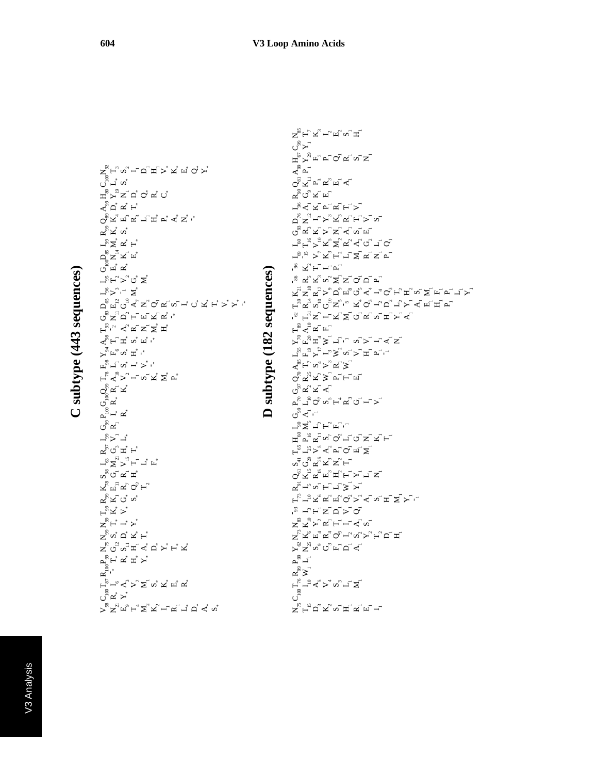$\sum_{\alpha} \Sigma_{\alpha} \pi_{\alpha} \vdash_{\alpha} \Sigma_{\alpha} \pi_{\alpha} \vdash_{\alpha} \pi_{\alpha} \vdash_{\alpha} \pi_{\alpha} \tau_{\alpha} \vdash_{\alpha} \pi_{\alpha} \tau_{\alpha}$ ್ರೆಷ್ ≻\*  $\mathsf{F}_\mathscr{B}$  –್ $\mathcal{A}_\omega$  > ವ\_ ಇ\_ ಇ\_ ಇ\_ ಇ\_ ಇ\_  $\mathbf{R}_1^\text{100}$ r, g, r, g, r, لا يا بد أكساط من المسابق<br>X ಗ್ದ<br>ಗಾರ್ಧ್ವ 7° H H H  $\mathsf{F}_\mathsf{g}^\mathsf{g} \mathsf{x}^\mathsf{g} \mathsf{x}^\mathsf{g}$ ఙ్మ్౮ ని  $\mathbf{F}_{\mathbf{g}}$ n ay  $\mathbf{F}_{\mathbf{g}}$ ∞ీ౮ ∝ ≖`  $\mathcal{L}_{\mathcal{S}}$ 2 $\mathcal{L}_{\mathcal{S}}$  ,  $\mathcal{L}_{\mathcal{S}}$  ,  $\mathcal{L}_{\mathcal{S}}$  ,  $\mathcal{L}_{\mathcal{S}}$ ಗ್ದ ದ್ವ <sub>ಲ</sub> –ಿ≻ –ೆ. ರಿ ∝ ⊾ຶ−້⊯້ ್ರ<br>ರ್ ∝ ⊘ಿಷ-'ಷ ⊢ౖ∝ౖ<sub>వ</sub> ≻' –- బ\_⊼ ≍ౖ <del>∠</del>ٍ <sub>ഥ</sub>ຶ–⊣ ⊽ໍో ~\* ే ≻<sup>న్</sup> ⊬° ∽ీ ±ీ ే ನ್ಸ್ =\_\_<br>ನ್ಸ್ ¤\* ¤\* "  $\mathbf{F}_{\mathrm{g}}$ ',  $\mathbf{y}$   $\mathbf{y}$   $\mathbf{y}$   $\mathbf{y}$   $\mathbf{y}$   $\mathbf{y}$ G83 N11 D2 T1 E1 K1 R\* - \*لا يُحْ جَا بَا يَا بَ يَا يَا حَا كَ جَا جَا جَا جَا جَا بَا يَا جَا جَا جَا جَا جَا جَا جَا جَا جَا –<sup>紧</sup>≻ຶ'¯ ∑້ –៉ុ°⊢ ្ភ" Qឺ ∑ឺ ್ದಾ<br>ಆಗ್ರಹ್ಮ  $\vec{\mathsf{p}}_{\mathrm{g}}^{\mathrm{s}}$ z $\vec{\mathsf{p}}$ ur –ಿ ≥ೆ ∝ೆ ⊢\*  $\mathbf{z}^{\mathbf{S}}$ ⊠້ ທ້  $\infty_{\mathrm{s}}$ 7 - " 5" - "  $\infty_{\mathrm{u}}$  = "  $\sim$  5" - "  $\sim$  $\leqslant$   $\sim$   $\leqslant$   $\sim$   $\sim$ <sub>H</sub>೫ ಸಿಸ್ವ್ ರೆ ದ್ರ್ ປື –ໍ່ ທ້ N92 T3 S2 I 1 D1 H1 V\* K\* E\* Q\* Y\*

#### $\mathbf{S}_{\kappa}^{\mathbf{F}}$  = 0.  $\mathbf{x}_{\kappa}^{\mathbf{F}}$   $\mathbf{x}_{\kappa}^{\mathbf{F}}$  =  $\mathbf{x}_{\kappa}^{\mathbf{F}}$  =  $\mathbf{x}_{\kappa}^{\mathbf{F}}$  $\mathrm{c}^\mathrm{ss}_\mathrm{C}$  $\Gamma_{\rm g}$   $\Gamma_{\rm g}$   $\propto$   $\sim$   $\sim$   $\sim$   $\sim$   $\sim$ ≩ຶ≩ ⊾ீ – ≻<sup>జ</sup> నీని౮ౕ ⊾ెద్≺  $\mathbf{S}_{\mathrm{L}}$   $\mathbf{R}_{\mathrm{L}}$   $\mathbf{R}_{\mathrm{L}}$   $\mathbf{Q}_{\mathrm{L}}$   $\mathbf{R}_{\mathrm{L}}$   $\mathbf{R}_{\mathrm{L}}$   $\mathbf{R}_{\mathrm{L}}$   $\mathbf{R}_{\mathrm{L}}$   $\mathbf{R}_{\mathrm{L}}$   $\mathbf{R}_{\mathrm{L}}$   $\mathbf{R}_{\mathrm{L}}$ నాలు<br>నాల్లా చిత్ - 93 I 3 T1 N1 D1 V1 Q1 T73 I10 K6 R2 E2 Q2 V2 A1 S1 H1 M1 Y1 - 1ಸ್ತ್–್ಲ್ಲ ">\_ Q61 K15 R15 E3 H2 T1 Y1 L1 N1  $\mathbf{S}_\mathbf{q}$ ರೈ  $\mathbf{S}_\mathbf{q}$ 'ಸ್ಪರ್ಧ ⊢ౢ౼ౢ>ౢ≺ౢ౿ౖ౸ౖज़ౖ*≿* πຶ¤ຶ¤ັ¤ົ໐ໃ∽ັບັ⊠ັຟີ⊢ັ **"≥నౖ** "∟ూ" ರ್ಿ≺⊤ ⊾್್ದಿ⊘್ಲ್ಲ್'∡್ಲ್  $\mathbb{Q}_2$ ಜ್ವ ಸ್ Q70 R25 K2 W1 P1 T1 E1  $\prec_{\infty}^{\infty}$ H,  $\sim_{\infty}$   $\sim$   $\sim$   $\ge$ 「"ूपु, ≻"–", ≽ु,∾⊥ > ⊥म् प्र⊥⊥  $\sum_{k=1}^{\infty} \mathbb{Z}^2$ 보, > 그 - 이 이 그 그 그 그 그 그 <sub>n</sub>‱್ದ'≖\_ ್ಣ ''ನ್ನ''-''ಸ್ತ್ರ್ನ್ನ ಸ್ಟ್ರ್'ನ್ಸ್ '' " ಸ್ವೈದಿದ್ದ " ಸ್ವೈದ್ಧ" ಸ್ವೈದ್ಧ ಸ್ವೈದ್ಧ ಪ್ರೈ<br>'' " ಸ್ವೈದ್ಧಿ ಸ್ವೈದ್ಧ" ಸ್ವೈದ್ಧ ಪ್ರೈ  $\mathcal{R}_2$   $\mathcal{R}_3$   $\mathcal{R}_4$   $\mathcal{R}_5$   $\mathcal{R}_6$   $\mathcal{R}_7$   $\mathcal{R}_7$   $\mathcal{R}_8$   $\mathcal{R}_7$   $\mathcal{R}_8$   $\mathcal{R}_7$   $\mathcal{R}_8$   $\mathcal{R}_9$   $\mathcal{R}_7$   $\mathcal{R}_8$   $\mathcal{R}_9$   $\mathcal{R}_9$   $\mathcal{R}_9$   $\mathcal{R}_9$   $\mathcal{R}_9$   $\mathcal{R}_7$   $\mathcal{R}_8$  ి దిదింగ్ <u>న్ ర</u>్రైల '<sub>≳</sub> ᆽ – – – – – I69 - 15 V7 K3 T2 L1 M1 R1 N1 P1 ್ಲೈ>ೈಸ್ನಸ್ನ್ನ್ನ್ ಇದಲ್ಲಿ oຶ≃ນີ>ັzັ*≺*ັທັ⊞ັ ర్డాని దిద్<del>ట</del> > న <sub>"R</sub>∢\_¤\_¤\_¤\_⊢\_>\_ ∝್ಲ್ ಸ್ಪ  $\infty$ జ్లై <ై ⊲ໃ≏້  $\mathbb{H} \overset{\circ}{\triangleright} \overset{\circ}{\shortparallel} \mathbb{H}^{\circ}$  ద $\mathbb{L} \circ \overset{\circ}{\shortangleright} \mathbb{K}^{\circ}$  ద $\mathbb{L} \circ \overset{\circ}{\shortangleright} \mathbb{L}^{\circ}$ ಲಿ ಿ≻  $\mathbf{S}_{\mathrm{g}}$  ,  $\mathbf{F}_{\mathrm{g}}$  ,  $\mathbf{F}_{\mathrm{g}}$  ,  $\mathbf{F}_{\mathrm{g}}$  ,  $\mathbf{F}_{\mathrm{g}}$

**D subtype (182 sequences)**

 $\Box$ 

subtype (182 sequences)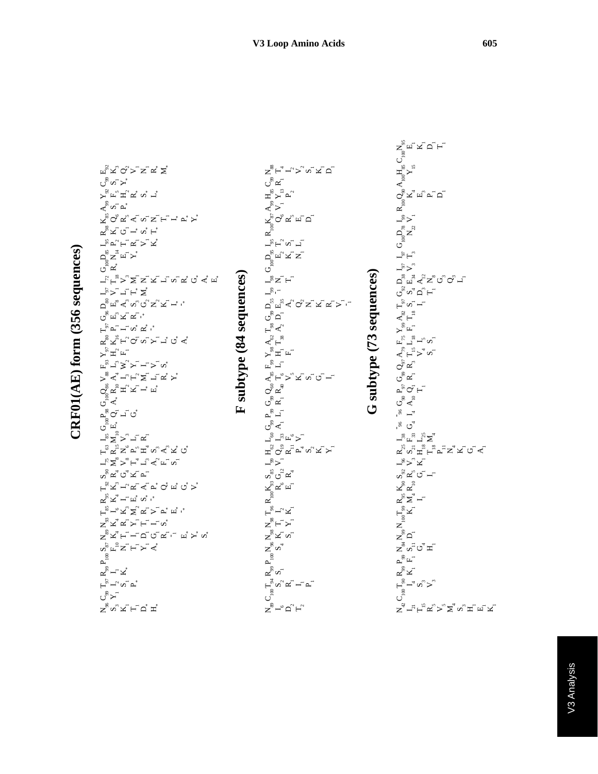|                                  | $\begin{array}{l} \mathbb{I}_0 \to \mathbb{I}_8 \text{ } G_{10}Q_{88} \text{ } V_{88} \text{ } F_{31} \text{ } Y_{97} \text{ } R_{80} \text{ } T_{92} \text{ } G_{96} \text{ } D_{80} \text{ } I_{97} \text{ } G_{10} D_{88} \text{ } I_{98} \text{ } I_{88} \text{ } A_{98} \text{ } Y_{20} \\ \mathbb{I}_0 \text{ } E_* \text{ } Q_1 \text{ } A_* \text{ } R_{10} \text{ } A_* \text{ } L_* \text{ } H_3 \text{ } K_$ |
|----------------------------------|-------------------------------------------------------------------------------------------------------------------------------------------------------------------------------------------------------------------------------------------------------------------------------------------------------------------------------------------------------------------------------------------------------------------------|
|                                  |                                                                                                                                                                                                                                                                                                                                                                                                                         |
|                                  |                                                                                                                                                                                                                                                                                                                                                                                                                         |
|                                  |                                                                                                                                                                                                                                                                                                                                                                                                                         |
|                                  |                                                                                                                                                                                                                                                                                                                                                                                                                         |
|                                  |                                                                                                                                                                                                                                                                                                                                                                                                                         |
|                                  |                                                                                                                                                                                                                                                                                                                                                                                                                         |
|                                  |                                                                                                                                                                                                                                                                                                                                                                                                                         |
|                                  |                                                                                                                                                                                                                                                                                                                                                                                                                         |
|                                  |                                                                                                                                                                                                                                                                                                                                                                                                                         |
|                                  |                                                                                                                                                                                                                                                                                                                                                                                                                         |
|                                  |                                                                                                                                                                                                                                                                                                                                                                                                                         |
|                                  |                                                                                                                                                                                                                                                                                                                                                                                                                         |
|                                  |                                                                                                                                                                                                                                                                                                                                                                                                                         |
|                                  |                                                                                                                                                                                                                                                                                                                                                                                                                         |
|                                  |                                                                                                                                                                                                                                                                                                                                                                                                                         |
|                                  |                                                                                                                                                                                                                                                                                                                                                                                                                         |
|                                  |                                                                                                                                                                                                                                                                                                                                                                                                                         |
|                                  |                                                                                                                                                                                                                                                                                                                                                                                                                         |
|                                  |                                                                                                                                                                                                                                                                                                                                                                                                                         |
|                                  |                                                                                                                                                                                                                                                                                                                                                                                                                         |
| $CRF01(AE)$ form (356 sequences) |                                                                                                                                                                                                                                                                                                                                                                                                                         |
|                                  |                                                                                                                                                                                                                                                                                                                                                                                                                         |
|                                  |                                                                                                                                                                                                                                                                                                                                                                                                                         |

| <sub>¤న</sub> 'న ⊘'> ≍ా ∝ ష                                                                                                                                                                                                                                                                                                                                                                                                           |                 |
|---------------------------------------------------------------------------------------------------------------------------------------------------------------------------------------------------------------------------------------------------------------------------------------------------------------------------------------------------------------------------------------------------------------------------------------|-----------------|
| టీబా⊁ి                                                                                                                                                                                                                                                                                                                                                                                                                                |                 |
| yຶົ້ນີ້<br>ມີມີ                                                                                                                                                                                                                                                                                                                                                                                                                       |                 |
| $\mathbf{A}^{\circledast}$ or $\mathbf{A}^*$                                                                                                                                                                                                                                                                                                                                                                                          |                 |
| <sub>៳</sub><br>ೱೢಁಁಁೱೢೱಁೱೢೱಁಁಁಁಁಁಁಁಁಁಁೢೢ                                                                                                                                                                                                                                                                                                                                                                                             |                 |
| డీద ౖే ౖ ౖ ౖ ౖ                                                                                                                                                                                                                                                                                                                                                                                                                        |                 |
| <b>「ぷピピピン</b> 」と                                                                                                                                                                                                                                                                                                                                                                                                                      |                 |
|                                                                                                                                                                                                                                                                                                                                                                                                                                       |                 |
| $\begin{array}{ccccc} G_{100}D_{ss} & & & \\ R_{*} & N_{14} & & \\ E_{1} & & & \\ & E_{1} & & \\ & & Y_{*} & R \\ \end{array}$                                                                                                                                                                                                                                                                                                        |                 |
| _<br>⊢ֲךֲ –ٌ אֲ עֲדָ עֲדָ עֵרָ עֵרָ עֵרָ עֵרָ                                                                                                                                                                                                                                                                                                                                                                                         |                 |
| ヹ゚ゕ゙ヿ゙ゖ゙゙゙ヹ゙                                                                                                                                                                                                                                                                                                                                                                                                                          |                 |
| ద<br>ద్దో <ో దొర్ద్ద్.* '*                                                                                                                                                                                                                                                                                                                                                                                                            |                 |
| ್ಲಿ<br>ರೈ ಸ್ತ್ರ್.                                                                                                                                                                                                                                                                                                                                                                                                                     |                 |
| ⊢ీ ఒె –ె ∽* <i>∝</i> * ే                                                                                                                                                                                                                                                                                                                                                                                                              |                 |
| <sub>៙៓</sub> ៴៓ <sub>៲</sub> ៲៓៷៓៰៓៴៓៹                                                                                                                                                                                                                                                                                                                                                                                               | $\overline{34}$ |
| $\sum_{2}^{\infty} \mathbb{H}^2$ , $\mathbb{H}^2$<br>$\mathbb{E}_{\text{S}}^{\text{S}} \mathbb{L}_{\text{S}}^{\text{S}} \succcurlyeq \mathbb{L}_{\text{S}}^{\text{S}} \mathbb{L}_{\text{S}}^{\text{S}} = \mathbb{L}_{\text{S}}^{\text{S}} \mathbb{L}_{\text{S}}^{\text{S}}$                                                                                                                                                           |                 |
|                                                                                                                                                                                                                                                                                                                                                                                                                                       |                 |
|                                                                                                                                                                                                                                                                                                                                                                                                                                       | subtype         |
|                                                                                                                                                                                                                                                                                                                                                                                                                                       |                 |
| $\begin{array}{cccc} \mathbf{1}_{\mathbf{S}} & \mathbf{G}_{100} \mathbf{P}_{98} & \mathbf{G}_{100} \mathbf{Q}_{86} \\ \mathbf{S} & \mathbf{M}_{10} \mathbf{E}_{+} & \mathbf{Q}_{1} & \mathbf{A}_{+} \mathbf{R}_{10} \\ \mathbf{N}_{10} & \mathbf{E}_{+} & \mathbf{Q}_{1} & \mathbf{H}_{-1} \\ \mathbf{V}_{1} & \mathbf{G}_{+} & \mathbf{K}_{-1} \\ \mathbf{I}_{1} & \mathbf{G}_{+} & \mathbf{I}_{+} & \mathbf{I}_{-} \\ \mathbf{R}_{$ | $\mathbf{r}$    |
|                                                                                                                                                                                                                                                                                                                                                                                                                                       |                 |
|                                                                                                                                                                                                                                                                                                                                                                                                                                       |                 |
| ్ల<br>బ్లోబ్లో చిన్నీ రే                                                                                                                                                                                                                                                                                                                                                                                                              |                 |
| $-$ ເຂື້າ ເປີ້                                                                                                                                                                                                                                                                                                                                                                                                                        |                 |
| ల్లి మైదా<br>త్రి మైదా                                                                                                                                                                                                                                                                                                                                                                                                                |                 |
|                                                                                                                                                                                                                                                                                                                                                                                                                                       |                 |
| డీన – ⊤ ¤ీ ∞ీ.*                                                                                                                                                                                                                                                                                                                                                                                                                       |                 |
| ⊢໊ຶ∽"∡ຶ∑ິ∝ັ⊳໊≏໊⊮ໍ                                                                                                                                                                                                                                                                                                                                                                                                                     |                 |
| వౖ∝ాౖ≿⊥⊢_∽ు<br>≍ౖనాౖ≿_⊢_−_∾                                                                                                                                                                                                                                                                                                                                                                                                           |                 |
|                                                                                                                                                                                                                                                                                                                                                                                                                                       |                 |
|                                                                                                                                                                                                                                                                                                                                                                                                                                       |                 |
| $R_{99}P_{100}$<br>$I_{1}X_{4}$                                                                                                                                                                                                                                                                                                                                                                                                       |                 |
| $F_{\phantom{\mu}\phantom{\mu}S}^{\phantom{\mu}\phantom{\mu}S}$ . Then $\phantom{\mu}F_{\phantom{\mu}S}^{\phantom{\mu}\phantom{\mu}S}$                                                                                                                                                                                                                                                                                                |                 |
| ಀೢೢಁ                                                                                                                                                                                                                                                                                                                                                                                                                                  |                 |
|                                                                                                                                                                                                                                                                                                                                                                                                                                       |                 |
| వ<br>నామ్టే చే                                                                                                                                                                                                                                                                                                                                                                                                                        |                 |

| $\mathbf{z}^{\mathbf{w}}_{\mathbf{w}}$ ະ ⊥ື່ນີ້ |  |  |  |                          |  |
|-------------------------------------------------|--|--|--|--------------------------|--|
|                                                 |  |  |  |                          |  |
|                                                 |  |  |  |                          |  |
|                                                 |  |  |  |                          |  |
|                                                 |  |  |  |                          |  |
|                                                 |  |  |  |                          |  |
|                                                 |  |  |  |                          |  |
|                                                 |  |  |  |                          |  |
|                                                 |  |  |  | G subtype (73 sequences) |  |
|                                                 |  |  |  |                          |  |
|                                                 |  |  |  |                          |  |
|                                                 |  |  |  |                          |  |
|                                                 |  |  |  |                          |  |
|                                                 |  |  |  |                          |  |
|                                                 |  |  |  |                          |  |
|                                                 |  |  |  |                          |  |
|                                                 |  |  |  |                          |  |
|                                                 |  |  |  |                          |  |
|                                                 |  |  |  |                          |  |
|                                                 |  |  |  |                          |  |
|                                                 |  |  |  |                          |  |
|                                                 |  |  |  |                          |  |
|                                                 |  |  |  |                          |  |
|                                                 |  |  |  |                          |  |
|                                                 |  |  |  |                          |  |
|                                                 |  |  |  |                          |  |
|                                                 |  |  |  |                          |  |
|                                                 |  |  |  |                          |  |
|                                                 |  |  |  |                          |  |
|                                                 |  |  |  |                          |  |
|                                                 |  |  |  |                          |  |
|                                                 |  |  |  |                          |  |

 $\mathsf{S}_{\mathsf{sp}}$   $\mathsf{S}_{\mathsf{sp}}$   $\mathsf{S}_{\mathsf{sp}}$ 

N42 I21 T15 R5 V5 M4 S3 H1 E1 K1 C<br>| ೂ<br>|<br>C<br>| ನನ್ನು  $\mathbf{z}^{\mathbf{\hat{s}}}$   $\mathbf{x}^{-}$ உீட<sup>-</sup> <sub>డ</sub>ిచ్చే zຶ≏ັ  $\mathbf{N}_{100}^{\mathbf{0}}\mathbf{K}_{1}^{\mathbf{0}}$ ∝న్⊣  $\mathbf{F}_\mathrm{sp}$ నీఙౕ౮౼ౕ –ి≻ిచ  $\mathbf{F}_{\mathrm{g}}$   $\mathbf{F}_{\mathrm{g}}$   $\mathbf{F}_{\mathrm{g}}$   $\mathbf{F}_{\mathrm{g}}$   $\mathbf{F}_{\mathrm{g}}$   $\mathbf{F}_{\mathrm{g}}$   $\mathbf{F}_{\mathrm{g}}$   $\mathbf{F}_{\mathrm{g}}$ –<br>"″ ದೈ<br>–″ ದೈ ಗೃ ಗೃ ಗೃ ಗೃ  $\frac{1}{8}$   $\frac{1}{4}$ ರ್ೈ ⊾ಿ⊙ ⊢\_ రీ ∝  $\mathcal{O}_{\mathbf{z}}$ ಜ್  $\leqslant$  ⊢ຶ $>$ "ທີ ⊞ັື⊢″ ທີ ≻ຶ⊏ີ A82 T18  $\mathsf{F}_2$ ಇ ಸ ರ್ೈ್ ⊏ ದಿ ≖ೈ್≍ಿರ್೦ಿ –  $\mathsf{L}^5\mathsf{>}^n$  $\mathbb{P}_{\mathbb{P}_1}$  $\mathsf{G}_{\mathsf{lo}^\mathsf{R}}^{\mathsf{P}_{\mathsf{S}^\mathsf{R}}^{\mathsf{R}}}$ –ಿ≻⊺ ದ<br>೧<sup>೦</sup><br>ದ್ದೇಸ್ಟರ್\_  $\mathbf{A}_{100}\mathbf{H}_{\mathbf{ss}}^{\mathbf{S}}$ C<br>C<br>C<sub>2</sub><br>C<sub>2</sub>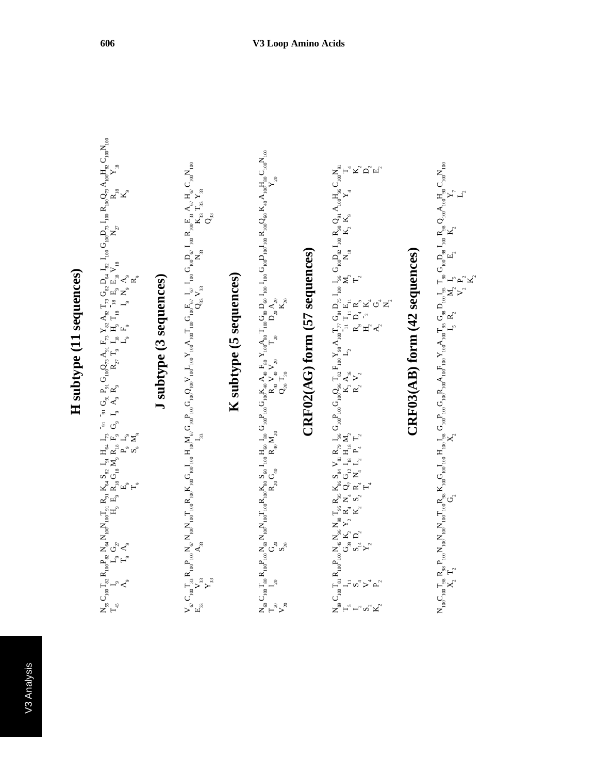### H subtype (11 sequences) **H subtype (11 sequences)**

$$
\begin{array}{l} N_{55} \,C_{100} T_{82} \,R_{100} P_{82} \,N_{40} N_{100} T_{91} \,R_{94} \,K_{84} \,S_{82} \,I_{y1} \,H_{64} \,I_{73} \ ^7y_1 \ ^7y_1 \,G_{10} Q_{23} \,A_{21} \,F_{73} \,Y_{82} \,P_{73} \,G_{82} \,D_{44} \,I_{82} \,I_{100} \,P_{100} Q_{73} \,A_{100} H_{92} \,C_{100} N_{100} \,T_{10} \,T_{15} \,I_{5} \,R_{5} \,G_{8} \,N_{4} \,R_{15} \,F_{9} \,G_{9} \,I_{9} \,A_{9} \,R_{9} \qquad R_{27} \,T_{9} \,I_{18} \,H_{9} \,T_{18} \,I_{18} \,F_{9} \,R_{18} \,V_{18} \qquad N_{27} \,R_{18} \qquad N_{27} \,R_{18} \qquad N_{28} \,R_{19} \,T_{19} \,T_{10} \,R_{10} \,R_{10} \,R_{10} \,R_{10} \,R_{10} \,R_{10} \,R_{10} \,R_{10} \,R_{10} \,R_{10} \,R_{10} \,R_{10} \,R_{10} \,R_{10} \,R_{10} \,R_{10} \,R_{10} \,R_{10} \,R_{10} \,R_{10} \,R_{10} \,R_{10} \,R_{10} \,R_{10} \,R_{10} \,R_{10} \,R_{10} \,R_{10} \,R_{10} \,R_{10} \,R_{10} \,R_{10} \,R_{10} \,R_{10} \,R_{10} \,R_{10} \,R_{10} \,R_{10} \,R_{10} \,R_{10} \,R_{10} \,R_{10} \,R_{10} \,R_{10} \,R_{10} \,R_{10} \,R_{10} \,R_{10} \,R_{10} \,R
$$

#### J subtype (3 sequences) **J subtype (3 sequences)**

$$
\begin{array}{l} V_{\sigma} \, C_{100} T_{33} \, R_{100} P_{100} N_{\sigma} \, N_{100} T_{100} R_{100} K_{100} G_{100} I_{100} H_{100} M_{\sigma} G_{100} P_{100} C_{100} V_{100} I_{100} T_{100} G_{100} E_{\sigma} \, I_{\sigma} \, I_{100} \, G_{100} D_{\sigma} \, I_{100} \, R_{100} E_{33} \, A_{\sigma} \, H_{\sigma} \, C_{100} V_{100} \\ R_{33} \, V_{33} \, \\ Y_{33} \, \\ Y_{33} \, \\ \end{array}
$$

### K subtype (5 sequences) **K subtype (5 sequences)**

$$
\begin{array}{l} N_{\varpi}C_{1\alpha}T_{s\alpha}R_{1\alpha\sigma}P_{1\alpha\sigma}N_{1\alpha\sigma}N_{1\alpha\sigma}T_{1\alpha\sigma}R_{s\alpha}S_{\alpha\sigma}I_{1\omega\sigma}H_{s\sigma}G_{1\alpha\sigma}R_{u\alpha}A_{a\sigma}F_{s\alpha}Y_{1\alpha\sigma}^2A_{s\sigma}T_{1\omega}G_{s\alpha}D_{\varpi}I_{1\omega\sigma}G_{1\omega\sigma}I_{1\omega\sigma}R_{1\omega}Q_{s\sigma}K_{4\sigma}A_{1\alpha\sigma}H_{s\sigma}C_{1\omega\sigma} \\ T_{2\alpha} \\ S_{2\alpha} \\ S_{2\alpha} \\ \end{array}
$$

# CRF02(AG) form (57 sequences) **CRF02(AG) form (57 sequences)**

N89 T5 I2 S2 K2 C100T81 I11 S4 V4 P2 R100P100N46 G39 S14 Y2 N96 K2 D2 N98 Y2 T95 R4 K2 R95 N4 S2 K86 Q7 R4 T4 S84 G12 N4 V81 I18 L2 R79 H18 P4 I96 M2 T2 G100P100G100Q96 K2 R2 T82 A16 V2 F100Y98 L2 A100T77 11 R9 H2 A2 G84 T11 D4 2D75 E11 R5 K4 G4 N2 I100 I96 M2 T2 G100D82 N18 I100 R98 K2 Q91 K9 A100H96 Y4 C100N91 T4 K2 D2 E2

# CRF03(AB) form (42 sequences) **CRF03(AB) form (42 sequences)**

$$
N_{100}C_{100}T_{98}\ R_{98}P_{100}N_{100}N_{100}T_{100}R_{98}K_{100}G_{100}H_{100}I_{98}G_{100}P_{100}R_{100}F_{100}N_{100}F_{100}N_{100}T_{95}G_{98}D_{100}I_{95}T_{90}G_{100}D_{98}I_{100}R_{98}Q_{100}A_{100}H_{90}C_{100}N_{100}G_{100}N_{100}G_{100}N_{100}G_{100}N_{100}T_{100}T_{100}T_{100}T_{100}T_{100}T_{100}T_{100}T_{100}T_{100}T_{100}T_{100}T_{100}T_{100}T_{100}T_{100}T_{100}T_{100}T_{100}T_{100}T_{100}T_{100}T_{100}T_{100}T_{100}T_{100}T_{100}T_{100}T_{100}T_{100}T_{100}T_{100}T_{100}T_{100}T_{100}T_{100}T_{100}T_{100}T_{100}T_{100}T_{100}T_{100}T_{100}T_{100}T_{100}T_{100}T_{100}T_{100}T_{100}T_{100}T_{100}T_{100}T_{100}T_{100}T_{100}T_{100}T_{100}T_{100}T_{100}T_{100}T_{100}T_{100}T_{100}T_{100}T_{100}T_{100}T_{100}T_{100}T_{100}T_{100}T_{100}T_{100}T_{100}T_{100}T_{100}T_{100}T_{100}T_{100}T_{100}T_{100}T_{100}T_{100}T_{100}T_{100}T_{100}T_{100}T_{100}T_{100}T_{100}T_{
$$